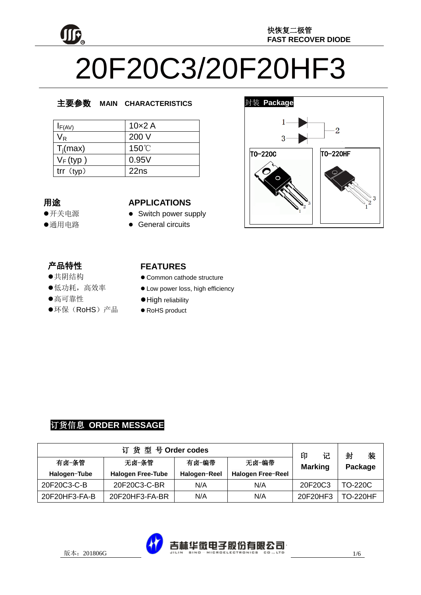

# 20F20C3/20F20HF3

# 主要参数 **MAIN CHARACTERISTICS**

| $I_{F(AV)}$ | $10\times2$ A |
|-------------|---------------|
| Vĸ          | 200 V         |
| $T_i(max)$  | 150°C         |
| $V_F$ (typ) | 0.95V         |
| trf(typ)    | 22ns          |

# 用途

- 开关电源
- 通用电路

#### **APPLICATIONS**

- Switch power supply
- **•** General circuits

# 产品特性

- , H-IVI工<br>●共阴结构
- <del>八历五日</del><br>●低功耗,高效率

# - 28カル,<br>●高可靠性

'<br>.,  $\overline{a}$ ●环保(RoHS)产品

#### **FEATURES**

- Common cathode structure
- $\bullet$  Low power loss, high efficiency
- $\bullet$  High reliability
- RoHS product



# 订货信息 **ORDER MESSAGE**

| 订货型号Order codes |                          |              | 印<br>记                   | 封<br>装         |                 |
|-----------------|--------------------------|--------------|--------------------------|----------------|-----------------|
| 有卤-条管           | 无卤-条管                    | 有卤-编带        | 无卤-编带                    | <b>Marking</b> | Package         |
| Halogen-Tube    | <b>Halogen Free-Tube</b> | Halogen-Reel | <b>Halogen Free-Reel</b> |                |                 |
| 20F20C3-C-B     | 20F20C3-C-BR             | N/A          | N/A                      | 20F20C3        | TO-220C         |
| 20F20HF3-FA-B   | 20F20HF3-FA-BR           | N/A          | N/A                      | 20F20HF3       | <b>TO-220HF</b> |

吉林华微电子股份有限公司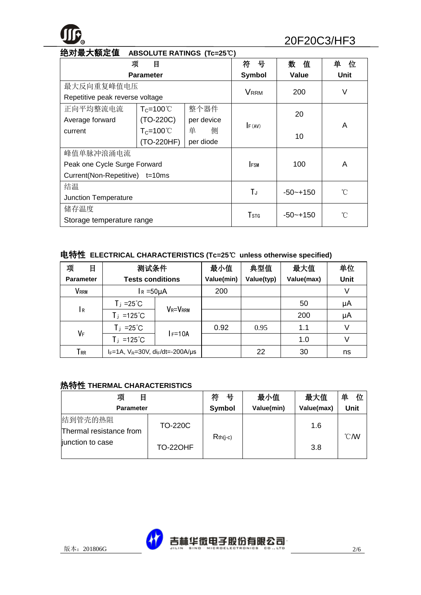

| 绝对最大额定值<br>ABSOLUTE RATINGS (Tc=25°C) |                     |            |              |              |        |
|---------------------------------------|---------------------|------------|--------------|--------------|--------|
| 项                                     | 目                   |            | 符<br>뮹       | 数<br>值       | 单<br>位 |
|                                       | <b>Parameter</b>    |            | Symbol       | <b>Value</b> | Unit   |
| 最大反向重复峰值电压                            |                     |            | <b>VRRM</b>  |              | V      |
| Repetitive peak reverse voltage       |                     |            |              | 200          |        |
| 正向平均整流电流                              | $T_c = 100^{\circ}$ | 整个器件       |              | 20           |        |
| Average forward                       | $(TO-220C)$         | per device |              |              | A      |
| current                               | $T_c = 100^{\circ}$ | 单<br>侧     | F (AV)       | 10           |        |
|                                       | (TO-220HF)          | per diode  |              |              |        |
| 峰值单脉冲浪涌电流                             |                     |            |              |              |        |
| Peak one Cycle Surge Forward          |                     |            | <b>IFSM</b>  | 100          | A      |
| Current(Non-Repetitive) t=10ms        |                     |            |              |              |        |
| 结温                                    |                     | TJ         | $-50 - +150$ | °C           |        |
| <b>Junction Temperature</b>           |                     |            |              |              |        |
| 储存温度                                  |                     |            | Tstg         |              | °C     |
| Storage temperature range             |                     |            |              | $-50 - +150$ |        |

# 电特性 **ELECTRICAL CHARACTERISTICS (Tc=25**℃ **unless otherwise specified)**

| 项<br>目             | 测试条件                                               |                | 最小值        | 典型值        | 最大值        | 单位          |
|--------------------|----------------------------------------------------|----------------|------------|------------|------------|-------------|
| <b>Parameter</b>   | <b>Tests conditions</b>                            |                | Value(min) | Value(typ) | Value(max) | <b>Unit</b> |
| VRRM               | $I_R = 50 \mu A$                                   |                | 200        |            |            | V           |
|                    | $T_j = 25^{\circ}C$                                |                |            |            | 50         | μA          |
| l R                | $T_j = 125^{\circ}C$                               | <b>VR=VRRM</b> |            |            | 200        | μA          |
| VF                 | $T_j = 25^{\circ}C$                                |                | 0.92       | 0.95       | 1.1        | V           |
|                    | $T_j = 125^{\circ}C$                               | F=10A          |            |            | 1.0        |             |
| ${\sf T}_{\sf RR}$ | $I_F = 1A$ , $V_R = 30V$ , $di_F/dt = -200A/\mu s$ |                |            | 22         | 30         | ns          |

#### 热特性 **THERMAL CHARACTERISTICS**

| 项<br>目                              |                | 符<br>뮥     | 最小值        | 最大值        | 单<br>位            |
|-------------------------------------|----------------|------------|------------|------------|-------------------|
| <b>Parameter</b>                    |                | Symbol     | Value(min) | Value(max) | Unit              |
| 结到管壳的热阻<br>Thermal resistance from  | <b>TO-220C</b> | $Rth(i-c)$ |            | 1.6        | $\mathcal{C}$ / W |
| junction to case<br><b>TO-22OHF</b> |                |            |            | 3.8        |                   |

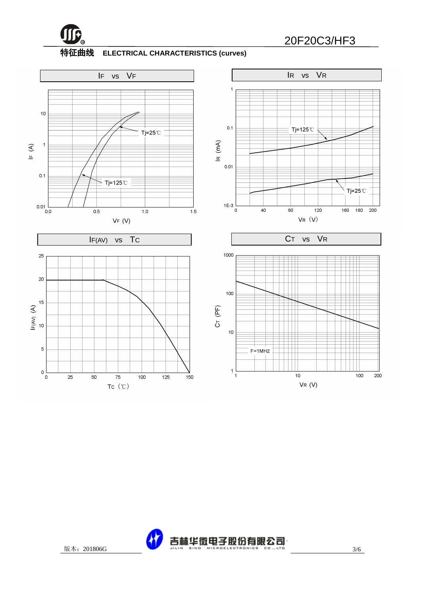

# **<sup>R</sup>** 20F20C3/HF3

#### 特征曲线 **ELECTRICAL CHARACTERISTICS (curves)**



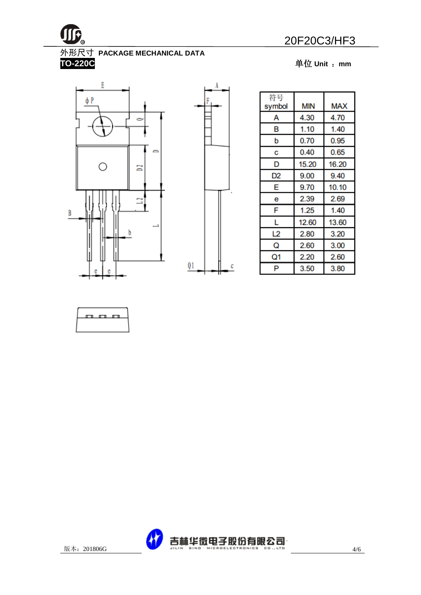

# **R** 20F20C3/HF3

#### 外形尺寸 **PACKAGE MECHANICAL DATA**

**TO-220C** 单位 **Unit** :**mm**



| 符号<br>symbol | <b>MIN</b> | MA)   |
|--------------|------------|-------|
| А            | 4.30       | 4.70  |
| в            | 1.10       | 1.40  |
| b            | 0.70       | 0.95  |
| С            | 0.40       | 0.65  |
| D            | 15.20      | 16.20 |
| D2           | 9.00       | 9.40  |
| E            | 9.70       | 10.10 |
| е            | 2.39       | 2.69  |
| F            | 1.25       | 1.40  |
| L            | 12.60      | 13.60 |
| L2           | 2.80       | 3.20  |
| Q            | 2.60       | 3.00  |
| Q1           | 2.20       | 2.60  |
| P            | 3.50       | 3.80  |





 $\mathbf c$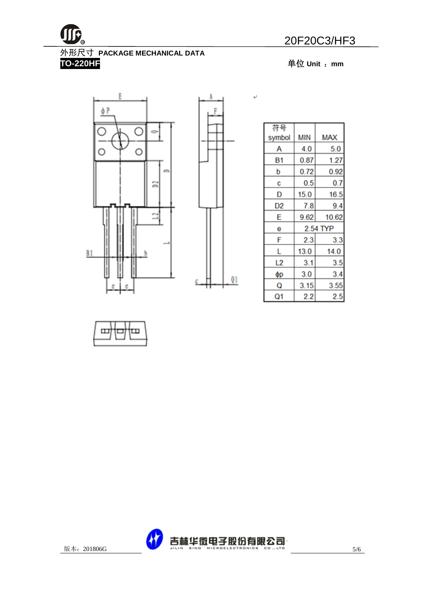$\overline{\phantom{a}}$ 

**R** 20F20C3/HF3

# 外形尺寸 **PACKAGE MECHANICAL DATA**

**TO-220HF** 单位 **Unit** :**mm**





| 符号        |          |            |  |
|-----------|----------|------------|--|
| symbol    | ΜIΝ      | <b>MAX</b> |  |
| А         | 4.0      | 5.0        |  |
| <b>B1</b> | 0.87     | 1.27       |  |
| p         | 0.72     | 0.92       |  |
| С         | 0.5      | 0.7        |  |
| D         | 15.0     | 16.5       |  |
| D2        | 7.8      | 9.4        |  |
| E         | 9.62     | 10.62      |  |
| е         | 2.54 TYP |            |  |
| F         | 2.3      | 3.3        |  |
| L         | 13.0     | 14.0       |  |
| L2        | 3.1      | 3.5        |  |
| φр        | 3.0      | 3.4        |  |
| Q         | 3.15     | 3.55       |  |
| Q1        | 2.2      | 2.5        |  |